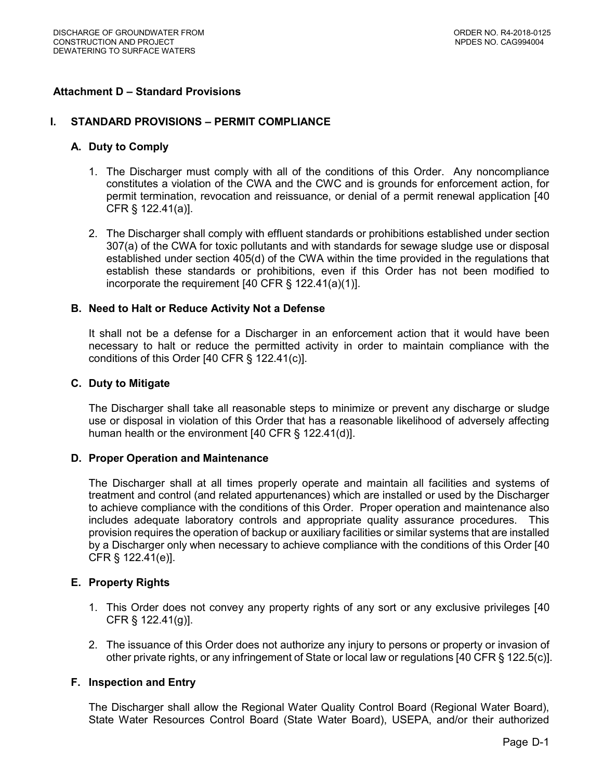## **Attachment D – Standard Provisions**

#### **I. STANDARD PROVISIONS – PERMIT COMPLIANCE**

#### **A. Duty to Comply**

- 1. The Discharger must comply with all of the conditions of this Order. Any noncompliance constitutes a violation of the CWA and the CWC and is grounds for enforcement action, for permit termination, revocation and reissuance, or denial of a permit renewal application [40 CFR § 122.41(a)].
- 2. The Discharger shall comply with effluent standards or prohibitions established under section 307(a) of the CWA for toxic pollutants and with standards for sewage sludge use or disposal established under section 405(d) of the CWA within the time provided in the regulations that establish these standards or prohibitions, even if this Order has not been modified to incorporate the requirement [40 CFR § 122.41(a)(1)].

### **B. Need to Halt or Reduce Activity Not a Defense**

 It shall not be a defense for a Discharger in an enforcement action that it would have been necessary to halt or reduce the permitted activity in order to maintain compliance with the conditions of this Order [40 CFR § 122.41(c)].

## **C. Duty to Mitigate**

 The Discharger shall take all reasonable steps to minimize or prevent any discharge or sludge use or disposal in violation of this Order that has a reasonable likelihood of adversely affecting human health or the environment [40 CFR § 122.41(d)].

#### **D. Proper Operation and Maintenance**

 The Discharger shall at all times properly operate and maintain all facilities and systems of treatment and control (and related appurtenances) which are installed or used by the Discharger to achieve compliance with the conditions of this Order. Proper operation and maintenance also includes adequate laboratory controls and appropriate quality assurance procedures. This provision requires the operation of backup or auxiliary facilities or similar systems that are installed by a Discharger only when necessary to achieve compliance with the conditions of this Order [40 CFR § 122.41(e)].

#### **E. Property Rights**

- 1. This Order does not convey any property rights of any sort or any exclusive privileges [40 CFR § 122.41(g)].
- 2. The issuance of this Order does not authorize any injury to persons or property or invasion of other private rights, or any infringement of State or local law or regulations [40 CFR § 122.5(c)].

## **F. Inspection and Entry**

 The Discharger shall allow the Regional Water Quality Control Board (Regional Water Board), State Water Resources Control Board (State Water Board), USEPA, and/or their authorized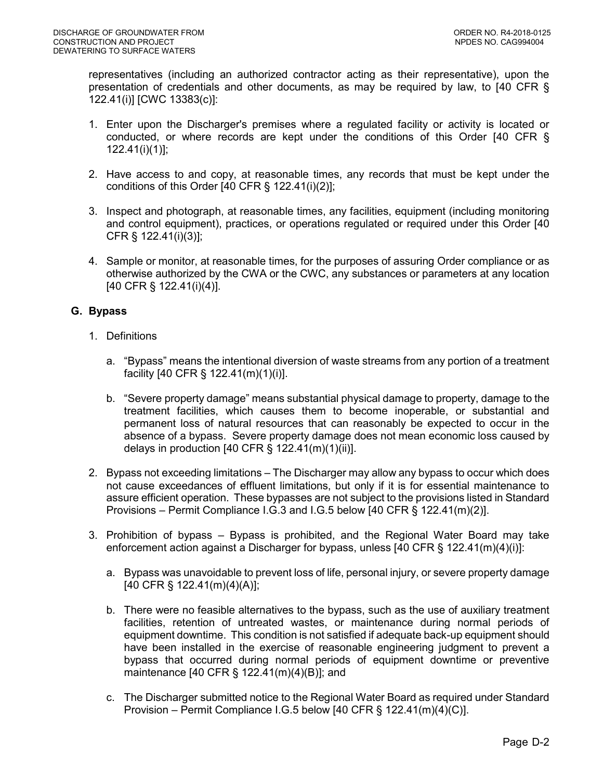representatives (including an authorized contractor acting as their representative), upon the presentation of credentials and other documents, as may be required by law, to [40 CFR § 122.41(i)] [CWC 13383(c)]:

- 1. Enter upon the Discharger's premises where a regulated facility or activity is located or conducted, or where records are kept under the conditions of this Order [40 CFR § 122.41(i)(1)];
- 2. Have access to and copy, at reasonable times, any records that must be kept under the conditions of this Order [40 CFR § 122.41(i)(2)];
- 3. Inspect and photograph, at reasonable times, any facilities, equipment (including monitoring and control equipment), practices, or operations regulated or required under this Order [40 CFR § 122.41(i)(3)];
- 4. Sample or monitor, at reasonable times, for the purposes of assuring Order compliance or as otherwise authorized by the CWA or the CWC, any substances or parameters at any location [40 CFR § 122.41(i)(4)].

# **G. Bypass**

- 1. Definitions
	- a. "Bypass" means the intentional diversion of waste streams from any portion of a treatment facility [40 CFR § 122.41(m)(1)(i)].
	- b. "Severe property damage" means substantial physical damage to property, damage to the treatment facilities, which causes them to become inoperable, or substantial and permanent loss of natural resources that can reasonably be expected to occur in the absence of a bypass. Severe property damage does not mean economic loss caused by delays in production [40 CFR § 122.41(m)(1)(ii)].
- 2. Bypass not exceeding limitations The Discharger may allow any bypass to occur which does not cause exceedances of effluent limitations, but only if it is for essential maintenance to assure efficient operation. These bypasses are not subject to the provisions listed in Standard Provisions – Permit Compliance I.G.3 and I.G.5 below [40 CFR § 122.41(m)(2)].
- 3. Prohibition of bypass Bypass is prohibited, and the Regional Water Board may take enforcement action against a Discharger for bypass, unless [40 CFR § 122.41(m)(4)(i)]:
	- a. Bypass was unavoidable to prevent loss of life, personal injury, or severe property damage [40 CFR § 122.41(m)(4)(A)];
	- b. There were no feasible alternatives to the bypass, such as the use of auxiliary treatment facilities, retention of untreated wastes, or maintenance during normal periods of equipment downtime. This condition is not satisfied if adequate back-up equipment should have been installed in the exercise of reasonable engineering judgment to prevent a bypass that occurred during normal periods of equipment downtime or preventive maintenance [40 CFR § 122.41(m)(4)(B)]; and
	- c. The Discharger submitted notice to the Regional Water Board as required under Standard Provision – Permit Compliance I.G.5 below [40 CFR § 122.41(m)(4)(C)].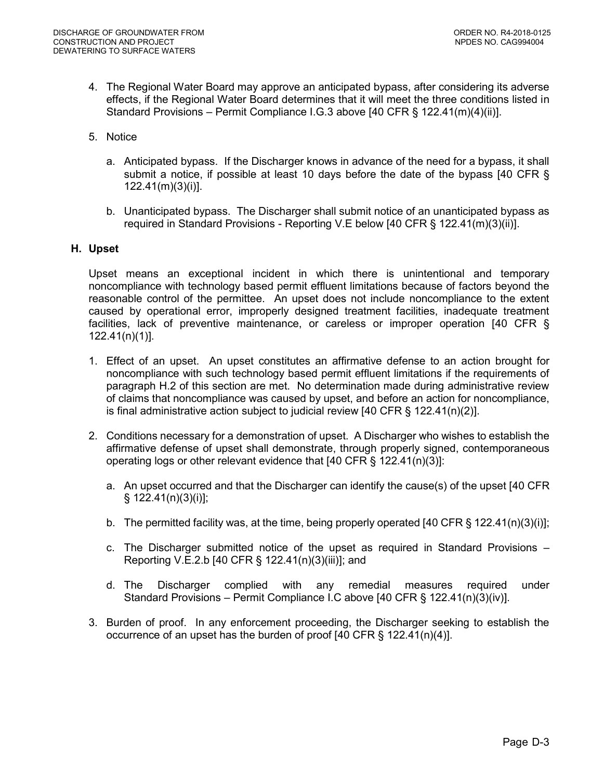- 4. The Regional Water Board may approve an anticipated bypass, after considering its adverse effects, if the Regional Water Board determines that it will meet the three conditions listed in Standard Provisions – Permit Compliance I.G.3 above [40 CFR § 122.41(m)(4)(ii)].
- 5. Notice
	- a. Anticipated bypass. If the Discharger knows in advance of the need for a bypass, it shall submit a notice, if possible at least 10 days before the date of the bypass [40 CFR § 122.41(m)(3)(i)].
	- b. Unanticipated bypass. The Discharger shall submit notice of an unanticipated bypass as required in Standard Provisions - Reporting V.E below [40 CFR § 122.41(m)(3)(ii)].

#### **H. Upset**

 Upset means an exceptional incident in which there is unintentional and temporary noncompliance with technology based permit effluent limitations because of factors beyond the reasonable control of the permittee. An upset does not include noncompliance to the extent caused by operational error, improperly designed treatment facilities, inadequate treatment facilities, lack of preventive maintenance, or careless or improper operation [40 CFR § 122.41(n)(1)].

- 1. Effect of an upset. An upset constitutes an affirmative defense to an action brought for noncompliance with such technology based permit effluent limitations if the requirements of paragraph H.2 of this section are met. No determination made during administrative review of claims that noncompliance was caused by upset, and before an action for noncompliance, is final administrative action subject to judicial review [40 CFR § 122.41(n)(2)].
- 2. Conditions necessary for a demonstration of upset. A Discharger who wishes to establish the affirmative defense of upset shall demonstrate, through properly signed, contemporaneous operating logs or other relevant evidence that [40 CFR § 122.41(n)(3)]:
	- a. An upset occurred and that the Discharger can identify the cause(s) of the upset [40 CFR § 122.41(n)(3)(i)];
	- b. The permitted facility was, at the time, being properly operated [40 CFR § 122.41(n)(3)(i)];
	- c. The Discharger submitted notice of the upset as required in Standard Provisions Reporting V.E.2.b [40 CFR § 122.41(n)(3)(iii)]; and
	- required Standard Provisions – Permit Compliance I.C above [40 CFR § 122.41(n)(3)(iv)]. d. The Discharger complied with any remedial measures required under
- 3. Burden of proof. In any enforcement proceeding, the Discharger seeking to establish the occurrence of an upset has the burden of proof [40 CFR § 122.41(n)(4)].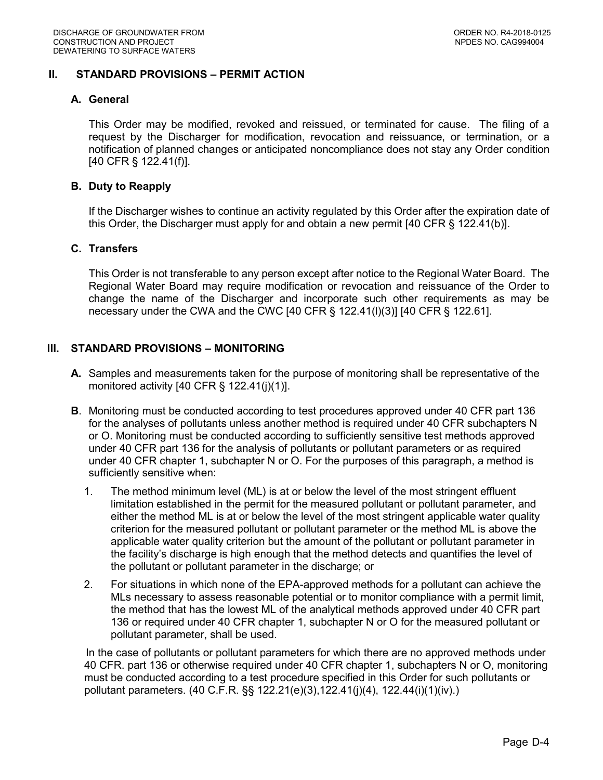## **II. STANDARD PROVISIONS – PERMIT ACTION**

### **A. General**

 This Order may be modified, revoked and reissued, or terminated for cause. The filing of a request by the Discharger for modification, revocation and reissuance, or termination, or a notification of planned changes or anticipated noncompliance does not stay any Order condition [40 CFR § 122.41(f)].

### **B. Duty to Reapply**

 If the Discharger wishes to continue an activity regulated by this Order after the expiration date of this Order, the Discharger must apply for and obtain a new permit [40 CFR § 122.41(b)].

#### **C. Transfers**

 This Order is not transferable to any person except after notice to the Regional Water Board. The Regional Water Board may require modification or revocation and reissuance of the Order to change the name of the Discharger and incorporate such other requirements as may be necessary under the CWA and the CWC [40 CFR § 122.41(l)(3)] [40 CFR § 122.61].

## **III. STANDARD PROVISIONS – MONITORING**

- **A.** Samples and measurements taken for the purpose of monitoring shall be representative of the monitored activity [40 CFR § 122.41(j)(1)].
- **B**. Monitoring must be conducted according to test procedures approved under 40 CFR part 136 for the analyses of pollutants unless another method is required under 40 CFR subchapters N or O. Monitoring must be conducted according to sufficiently sensitive test methods approved under 40 CFR part 136 for the analysis of pollutants or pollutant parameters or as required under 40 CFR chapter 1, subchapter N or O. For the purposes of this paragraph, a method is sufficiently sensitive when:
	- 1. The method minimum level (ML) is at or below the level of the most stringent effluent limitation established in the permit for the measured pollutant or pollutant parameter, and either the method ML is at or below the level of the most stringent applicable water quality criterion for the measured pollutant or pollutant parameter or the method ML is above the applicable water quality criterion but the amount of the pollutant or pollutant parameter in the facility's discharge is high enough that the method detects and quantifies the level of the pollutant or pollutant parameter in the discharge; or
	- 2. For situations in which none of the EPA-approved methods for a pollutant can achieve the MLs necessary to assess reasonable potential or to monitor compliance with a permit limit, the method that has the lowest ML of the analytical methods approved under 40 CFR part 136 or required under 40 CFR chapter 1, subchapter N or O for the measured pollutant or pollutant parameter, shall be used.

 40 CFR. part 136 or otherwise required under 40 CFR chapter 1, subchapters N or O, monitoring must be conducted according to a test procedure specified in this Order for such pollutants or pollutant parameters. (40 C.F.R. §§ 122.21(e)(3),122.41(j)(4), 122.44(i)(1)(iv).) In the case of pollutants or pollutant parameters for which there are no approved methods under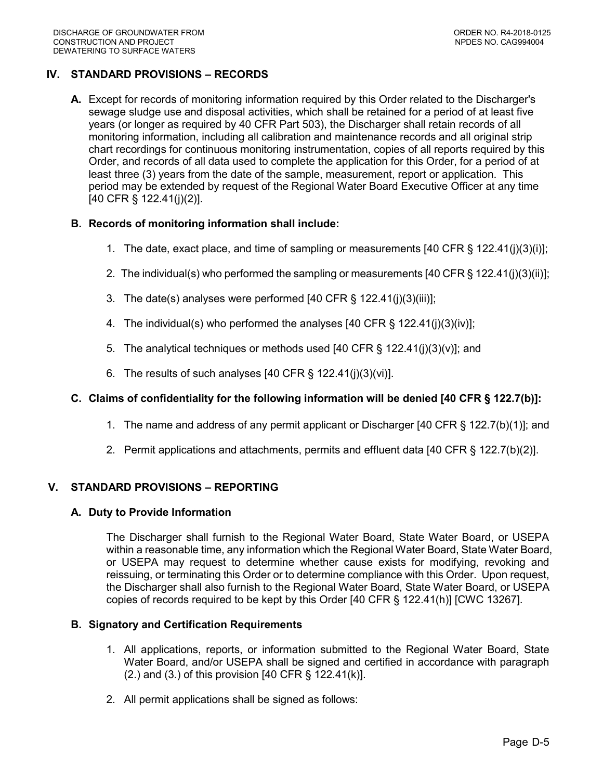# **IV. STANDARD PROVISIONS – RECORDS**

 **A.** Except for records of monitoring information required by this Order related to the Discharger's sewage sludge use and disposal activities, which shall be retained for a period of at least five years (or longer as required by 40 CFR Part 503), the Discharger shall retain records of all monitoring information, including all calibration and maintenance records and all original strip chart recordings for continuous monitoring instrumentation, copies of all reports required by this Order, and records of all data used to complete the application for this Order, for a period of at least three (3) years from the date of the sample, measurement, report or application. This period may be extended by request of the Regional Water Board Executive Officer at any time [40 CFR § 122.41(j)(2)].

# **B. Records of monitoring information shall include:**

- 1. The date, exact place, and time of sampling or measurements [40 CFR § 122.41(j)(3)(i)];
- 2. The individual(s) who performed the sampling or measurements [40 CFR § 122.41(j)(3)(ii)];
- 3. The date(s) analyses were performed [40 CFR § 122.41(j)(3)(iii)];
- 4. The individual(s) who performed the analyses [40 CFR § 122.41(j)(3)(iv)];
- 5. The analytical techniques or methods used [40 CFR § 122.41(j)(3)(v)]; and
- 6. The results of such analyses [40 CFR § 122.41(j)(3)(vi)].

# **C. Claims of confidentiality for the following information will be denied [40 CFR § 122.7(b)]:**

- 1. The name and address of any permit applicant or Discharger [40 CFR § 122.7(b)(1)]; and
- 2. Permit applications and attachments, permits and effluent data [40 CFR § 122.7(b)(2)].

## **V. STANDARD PROVISIONS – REPORTING**

## **A. Duty to Provide Information**

 The Discharger shall furnish to the Regional Water Board, State Water Board, or USEPA within a reasonable time, any information which the Regional Water Board, State Water Board, or USEPA may request to determine whether cause exists for modifying, revoking and reissuing, or terminating this Order or to determine compliance with this Order. Upon request, the Discharger shall also furnish to the Regional Water Board, State Water Board, or USEPA copies of records required to be kept by this Order [40 CFR § 122.41(h)] [CWC 13267].

### **B. Signatory and Certification Requirements**

- 1. All applications, reports, or information submitted to the Regional Water Board, State Water Board, and/or USEPA shall be signed and certified in accordance with paragraph (2.) and (3.) of this provision [40 CFR § 122.41(k)].
- 2. All permit applications shall be signed as follows: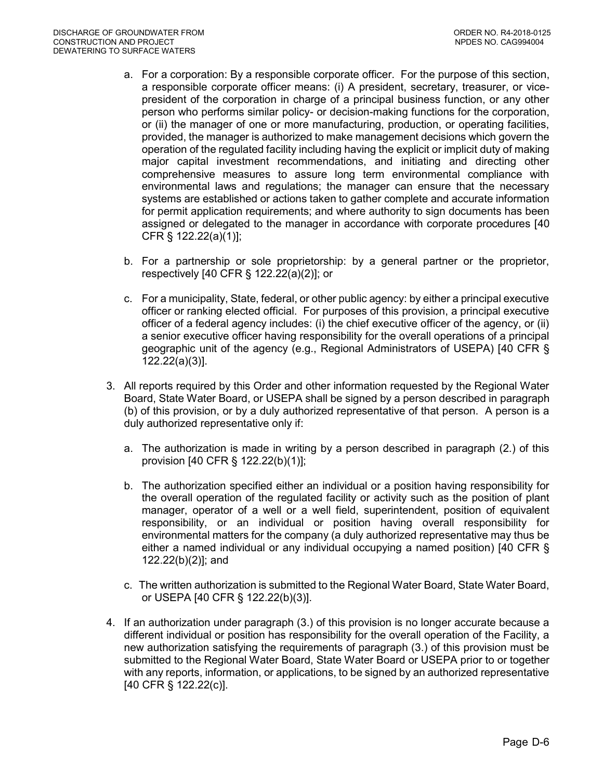- a. For a corporation: By a responsible corporate officer. For the purpose of this section, a responsible corporate officer means: (i) A president, secretary, treasurer, or vice- president of the corporation in charge of a principal business function, or any other person who performs similar policy- or decision-making functions for the corporation, or (ii) the manager of one or more manufacturing, production, or operating facilities, provided, the manager is authorized to make management decisions which govern the operation of the regulated facility including having the explicit or implicit duty of making major capital investment recommendations, and initiating and directing other environmental laws and regulations; the manager can ensure that the necessary systems are established or actions taken to gather complete and accurate information for permit application requirements; and where authority to sign documents has been assigned or delegated to the manager in accordance with corporate procedures [40 comprehensive measures to assure long term environmental compliance with CFR § 122.22(a)(1)];
- b. For a partnership or sole proprietorship: by a general partner or the proprietor, respectively [40 CFR § 122.22(a)(2)]; or
- c. For a municipality, State, federal, or other public agency: by either a principal executive officer or ranking elected official. For purposes of this provision, a principal executive officer of a federal agency includes: (i) the chief executive officer of the agency, or (ii) a senior executive officer having responsibility for the overall operations of a principal geographic unit of the agency (e.g., Regional Administrators of USEPA) [40 CFR § 122.22(a)(3)].
- 3. All reports required by this Order and other information requested by the Regional Water Board, State Water Board, or USEPA shall be signed by a person described in paragraph (b) of this provision, or by a duly authorized representative of that person. A person is a duly authorized representative only if:
	- a. The authorization is made in writing by a person described in paragraph (2.) of this provision [40 CFR § 122.22(b)(1)];
	- b. The authorization specified either an individual or a position having responsibility for the overall operation of the regulated facility or activity such as the position of plant manager, operator of a well or a well field, superintendent, position of equivalent responsibility, or an individual or position having overall responsibility for environmental matters for the company (a duly authorized representative may thus be either a named individual or any individual occupying a named position) [40 CFR § 122.22(b)(2)]; and
	- c. The written authorization is submitted to the Regional Water Board, State Water Board, or USEPA [40 CFR § 122.22(b)(3)].
- 4. If an authorization under paragraph (3.) of this provision is no longer accurate because a different individual or position has responsibility for the overall operation of the Facility, a new authorization satisfying the requirements of paragraph (3.) of this provision must be submitted to the Regional Water Board, State Water Board or USEPA prior to or together with any reports, information, or applications, to be signed by an authorized representative [40 CFR § 122.22(c)].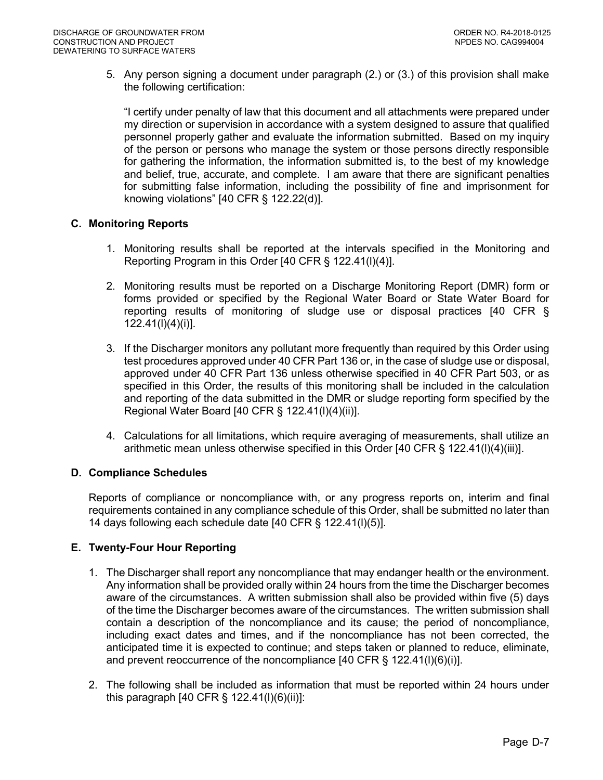5. Any person signing a document under paragraph (2.) or (3.) of this provision shall make the following certification:

 "I certify under penalty of law that this document and all attachments were prepared under my direction or supervision in accordance with a system designed to assure that qualified personnel properly gather and evaluate the information submitted. Based on my inquiry of the person or persons who manage the system or those persons directly responsible for gathering the information, the information submitted is, to the best of my knowledge and belief, true, accurate, and complete. I am aware that there are significant penalties for submitting false information, including the possibility of fine and imprisonment for knowing violations" [40 CFR § 122.22(d)].

## **C. Monitoring Reports**

- 1. Monitoring results shall be reported at the intervals specified in the Monitoring and Reporting Program in this Order [40 CFR § 122.41(l)(4)].
- 2. Monitoring results must be reported on a Discharge Monitoring Report (DMR) form or forms provided or specified by the Regional Water Board or State Water Board for reporting results of monitoring of sludge use or disposal practices [40 CFR §  $122.41(l)(4)(i)$ ].
- 122.41(l)(4)(i)]. 3. If the Discharger monitors any pollutant more frequently than required by this Order using test procedures approved under 40 CFR Part 136 or, in the case of sludge use or disposal, approved under 40 CFR Part 136 unless otherwise specified in 40 CFR Part 503, or as specified in this Order, the results of this monitoring shall be included in the calculation and reporting of the data submitted in the DMR or sludge reporting form specified by the Regional Water Board [40 CFR § 122.41(l)(4)(ii)].
- 4. Calculations for all limitations, which require averaging of measurements, shall utilize an arithmetic mean unless otherwise specified in this Order [40 CFR § 122.41(l)(4)(iii)].

## **D. Compliance Schedules**

 Reports of compliance or noncompliance with, or any progress reports on, interim and final requirements contained in any compliance schedule of this Order, shall be submitted no later than 14 days following each schedule date [40 CFR § 122.41(l)(5)].

## **E. Twenty-Four Hour Reporting**

- 1. The Discharger shall report any noncompliance that may endanger health or the environment. Any information shall be provided orally within 24 hours from the time the Discharger becomes aware of the circumstances. A written submission shall also be provided within five (5) days of the time the Discharger becomes aware of the circumstances. The written submission shall contain a description of the noncompliance and its cause; the period of noncompliance, including exact dates and times, and if the noncompliance has not been corrected, the anticipated time it is expected to continue; and steps taken or planned to reduce, eliminate, and prevent reoccurrence of the noncompliance [40 CFR § 122.41(l)(6)(i)].
- 2. The following shall be included as information that must be reported within 24 hours under this paragraph [40 CFR § 122.41(l)(6)(ii)]: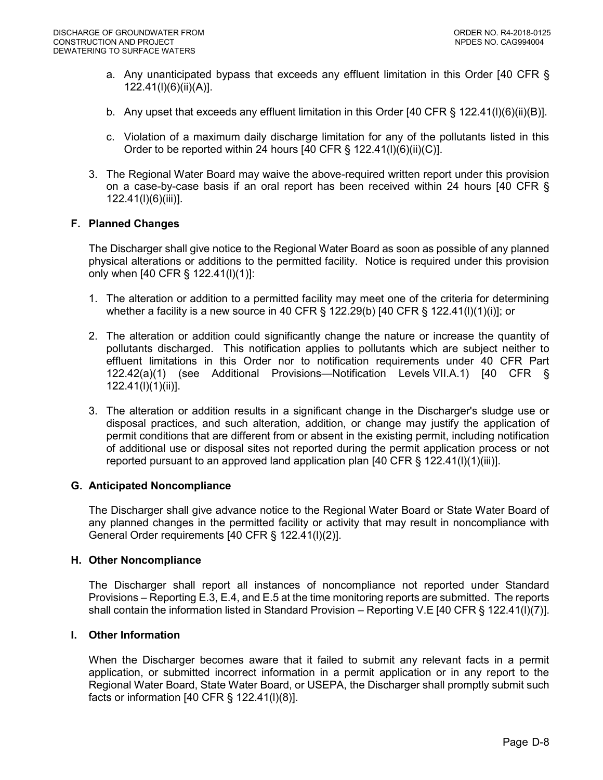- a. Any unanticipated bypass that exceeds any effluent limitation in this Order [40 CFR § 122.41(l)(6)(ii)(A)].
- b. Any upset that exceeds any effluent limitation in this Order [40 CFR § 122.41(l)(6)(ii)(B)].
- c. Violation of a maximum daily discharge limitation for any of the pollutants listed in this Order to be reported within 24 hours [40 CFR § 122.41(l)(6)(ii)(C)].
- 3. The Regional Water Board may waive the above-required written report under this provision on a case-by-case basis if an oral report has been received within 24 hours [40 CFR § 122.41(l)(6)(iii)].

## **F. Planned Changes**

 The Discharger shall give notice to the Regional Water Board as soon as possible of any planned physical alterations or additions to the permitted facility. Notice is required under this provision only when [40 CFR § 122.41(l)(1)]:

- 1. The alteration or addition to a permitted facility may meet one of the criteria for determining whether a facility is a new source in 40 CFR § 122.29(b) [40 CFR § 122.41(l)(1)(i)]; or
- 2. The alteration or addition could significantly change the nature or increase the quantity of pollutants discharged. This notification applies to pollutants which are subject neither to effluent limitations in this Order nor to notification requirements under 40 CFR Part 122.42(a)(1) (see Additional Provisions—Notification Levels VII.A.1) [40 CFR § 122.41(l)(1)(ii)].
- 3. The alteration or addition results in a significant change in the Discharger's sludge use or disposal practices, and such alteration, addition, or change may justify the application of permit conditions that are different from or absent in the existing permit, including notification of additional use or disposal sites not reported during the permit application process or not reported pursuant to an approved land application plan [40 CFR § 122.41(l)(1)(iii)].

#### **G. Anticipated Noncompliance**

 The Discharger shall give advance notice to the Regional Water Board or State Water Board of any planned changes in the permitted facility or activity that may result in noncompliance with General Order requirements [40 CFR § 122.41(l)(2)].

#### **H. Other Noncompliance**

 The Discharger shall report all instances of noncompliance not reported under Standard Provisions – Reporting E.3, E.4, and E.5 at the time monitoring reports are submitted. The reports shall contain the information listed in Standard Provision – Reporting V.E [40 CFR § 122.41(l)(7)].

#### **I. Other Information**

 When the Discharger becomes aware that it failed to submit any relevant facts in a permit application, or submitted incorrect information in a permit application or in any report to the Regional Water Board, State Water Board, or USEPA, the Discharger shall promptly submit such facts or information [40 CFR § 122.41(l)(8)].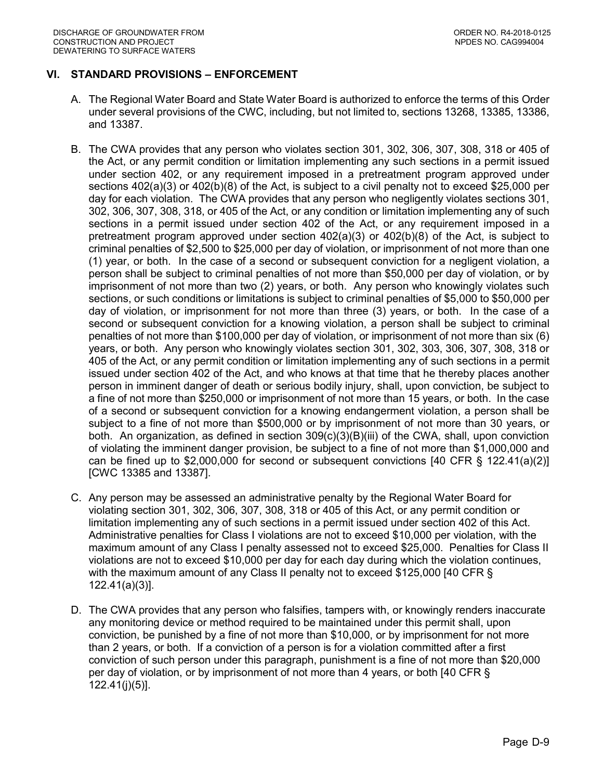## **VI. STANDARD PROVISIONS – ENFORCEMENT**

- A. The Regional Water Board and State Water Board is authorized to enforce the terms of this Order under several provisions of the CWC, including, but not limited to, sections 13268, 13385, 13386, and 13387.
- B. The CWA provides that any person who violates section 301, 302, 306, 307, 308, 318 or 405 of the Act, or any permit condition or limitation implementing any such sections in a permit issued under section 402, or any requirement imposed in a pretreatment program approved under sections 402(a)(3) or 402(b)(8) of the Act, is subject to a civil penalty not to exceed \$25,000 per day for each violation. The CWA provides that any person who negligently violates sections 301, 302, 306, 307, 308, 318, or 405 of the Act, or any condition or limitation implementing any of such sections in a permit issued under section 402 of the Act, or any requirement imposed in a pretreatment program approved under section 402(a)(3) or 402(b)(8) of the Act, is subject to criminal penalties of \$2,500 to \$25,000 per day of violation, or imprisonment of not more than one (1) year, or both. In the case of a second or subsequent conviction for a negligent violation, a person shall be subject to criminal penalties of not more than \$50,000 per day of violation, or by imprisonment of not more than two (2) years, or both. Any person who knowingly violates such sections, or such conditions or limitations is subject to criminal penalties of \$5,000 to \$50,000 per day of violation, or imprisonment for not more than three (3) years, or both. In the case of a second or subsequent conviction for a knowing violation, a person shall be subject to criminal penalties of not more than \$100,000 per day of violation, or imprisonment of not more than six (6) years, or both. Any person who knowingly violates section 301, 302, 303, 306, 307, 308, 318 or 405 of the Act, or any permit condition or limitation implementing any of such sections in a permit issued under section 402 of the Act, and who knows at that time that he thereby places another person in imminent danger of death or serious bodily injury, shall, upon conviction, be subject to a fine of not more than \$250,000 or imprisonment of not more than 15 years, or both. In the case of a second or subsequent conviction for a knowing endangerment violation, a person shall be subject to a fine of not more than \$500,000 or by imprisonment of not more than 30 years, or both. An organization, as defined in section 309(c)(3)(B)(iii) of the CWA, shall, upon conviction of violating the imminent danger provision, be subject to a fine of not more than \$1,000,000 and can be fined up to \$2,000,000 for second or subsequent convictions [40 CFR § 122.41(a)(2)] [CWC 13385 and 13387].
- C. Any person may be assessed an administrative penalty by the Regional Water Board for violating section 301, 302, 306, 307, 308, 318 or 405 of this Act, or any permit condition or limitation implementing any of such sections in a permit issued under section 402 of this Act. Administrative penalties for Class I violations are not to exceed \$10,000 per violation, with the maximum amount of any Class I penalty assessed not to exceed \$25,000. Penalties for Class II violations are not to exceed \$10,000 per day for each day during which the violation continues, with the maximum amount of any Class II penalty not to exceed \$125,000 [40 CFR § 122.41(a)(3)].
- D. The CWA provides that any person who falsifies, tampers with, or knowingly renders inaccurate any monitoring device or method required to be maintained under this permit shall, upon conviction, be punished by a fine of not more than \$10,000, or by imprisonment for not more than 2 years, or both. If a conviction of a person is for a violation committed after a first conviction of such person under this paragraph, punishment is a fine of not more than \$20,000 per day of violation, or by imprisonment of not more than 4 years, or both [40 CFR § 122.41(j)(5)].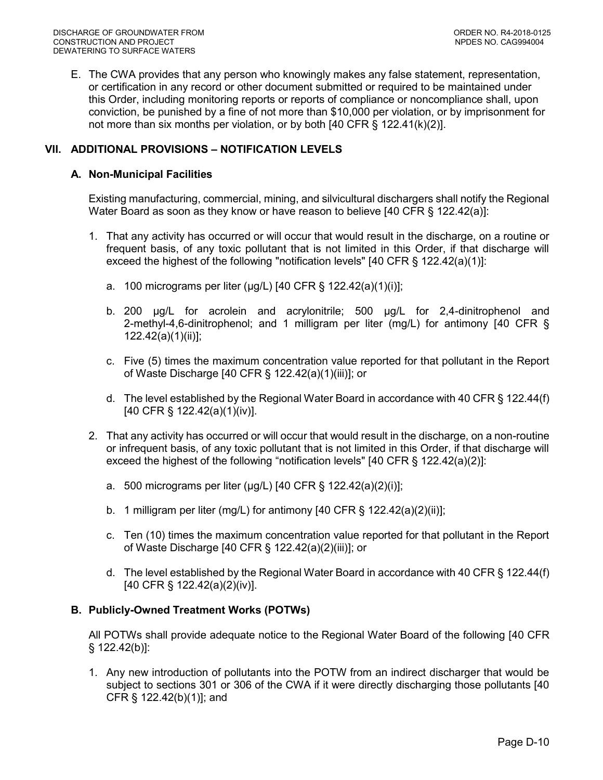E. The CWA provides that any person who knowingly makes any false statement, representation, or certification in any record or other document submitted or required to be maintained under this Order, including monitoring reports or reports of compliance or noncompliance shall, upon conviction, be punished by a fine of not more than \$10,000 per violation, or by imprisonment for not more than six months per violation, or by both [40 CFR § 122.41(k)(2)].

## **VII. ADDITIONAL PROVISIONS – NOTIFICATION LEVELS**

#### **A. Non-Municipal Facilities**

 Existing manufacturing, commercial, mining, and silvicultural dischargers shall notify the Regional Water Board as soon as they know or have reason to believe [40 CFR § 122.42(a)]:

- 1. That any activity has occurred or will occur that would result in the discharge, on a routine or frequent basis, of any toxic pollutant that is not limited in this Order, if that discharge will exceed the highest of the following "notification levels" [40 CFR § 122.42(a)(1)]:
	- a. 100 micrograms per liter (μg/L) [40 CFR § 122.42(a)(1)(i)];
	- b. 200 μg/L for acrolein and acrylonitrile; 500 μg/L for 2,4-dinitrophenol and 2-methyl-4,6-dinitrophenol; and 1 milligram per liter (mg/L) for antimony [40 CFR § 122.42(a)(1)(ii)];
	- c. Five (5) times the maximum concentration value reported for that pollutant in the Report of Waste Discharge [40 CFR § 122.42(a)(1)(iii)]; or
	- d. The level established by the Regional Water Board in accordance with 40 CFR § 122.44(f) [40 CFR § 122.42(a)(1)(iv)].
- 2. That any activity has occurred or will occur that would result in the discharge, on a non-routine or infrequent basis, of any toxic pollutant that is not limited in this Order, if that discharge will exceed the highest of the following "notification levels" [40 CFR § 122.42(a)(2)]:
	- a. 500 micrograms per liter (μg/L) [40 CFR § 122.42(a)(2)(i)];
	- b. 1 milligram per liter (mg/L) for antimony [40 CFR § 122.42(a)(2)(ii)];
	- c. Ten (10) times the maximum concentration value reported for that pollutant in the Report of Waste Discharge [40 CFR § 122.42(a)(2)(iii)]; or
	- d. The level established by the Regional Water Board in accordance with 40 CFR § 122.44(f) [40 CFR § 122.42(a)(2)(iv)].

## **B. Publicly-Owned Treatment Works (POTWs)**

 All POTWs shall provide adequate notice to the Regional Water Board of the following [40 CFR § 122.42(b)]:

 1. Any new introduction of pollutants into the POTW from an indirect discharger that would be subject to sections 301 or 306 of the CWA if it were directly discharging those pollutants [40 CFR § 122.42(b)(1)]; and